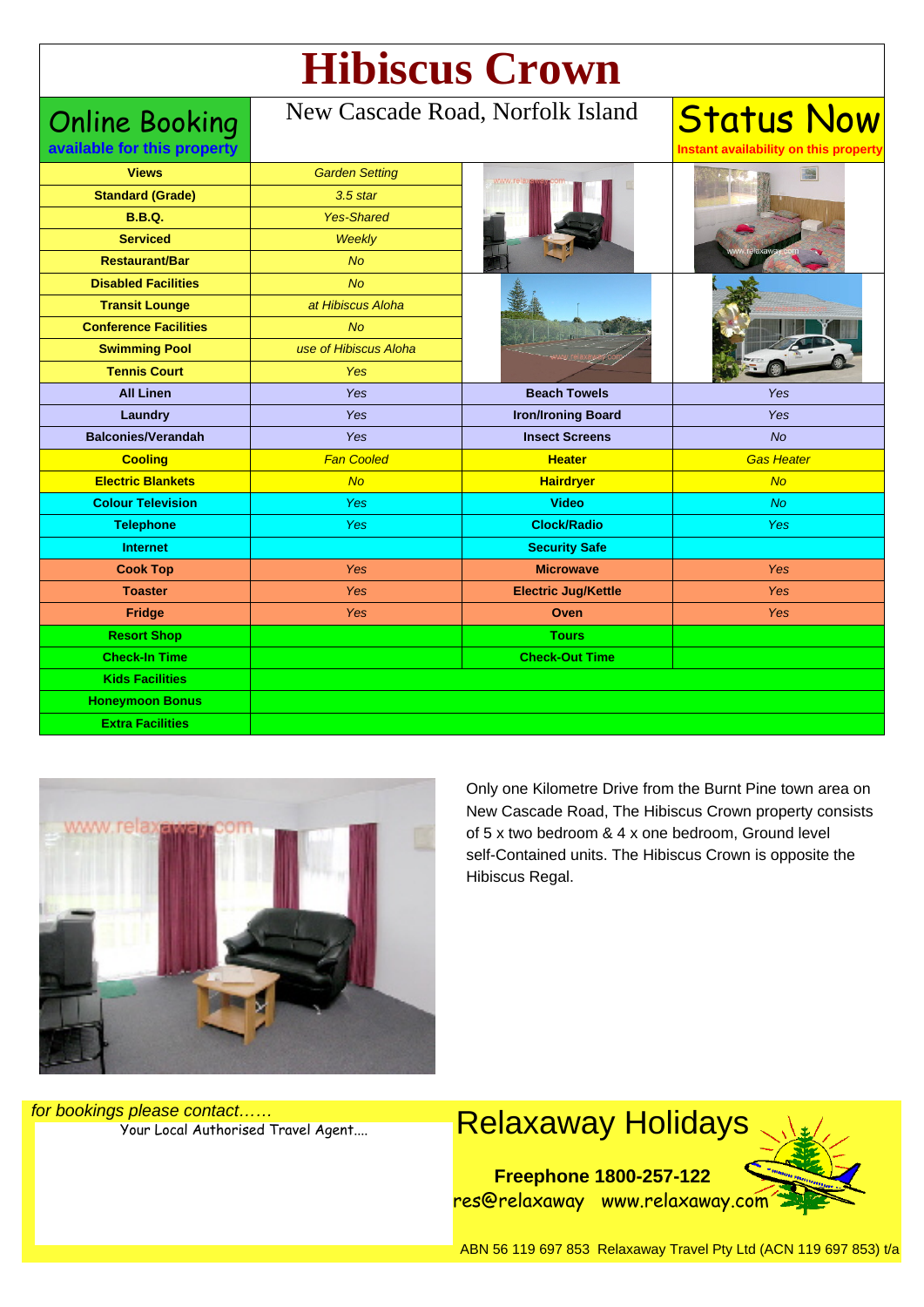# **Hibiscus Crown**

Online Booking **available for this property**

#### New Cascade Road, Norfolk Island

Status Now

**Instant availability on this property**

| <b>Views</b>                 | <b>Garden Setting</b> | www.rela                   |                   |
|------------------------------|-----------------------|----------------------------|-------------------|
| <b>Standard (Grade)</b>      | $3.5$ star            |                            |                   |
| <b>B.B.Q.</b>                | <b>Yes-Shared</b>     |                            |                   |
| <b>Serviced</b>              | <b>Weekly</b>         |                            |                   |
| <b>Restaurant/Bar</b>        | <b>No</b>             |                            |                   |
| <b>Disabled Facilities</b>   | <b>No</b>             |                            |                   |
| <b>Transit Lounge</b>        | at Hibiscus Aloha     |                            |                   |
| <b>Conference Facilities</b> | <b>No</b>             |                            |                   |
| <b>Swimming Pool</b>         | use of Hibiscus Aloha |                            |                   |
| <b>Tennis Court</b>          | <b>Yes</b>            |                            |                   |
| <b>All Linen</b>             | Yes                   | <b>Beach Towels</b>        | Yes               |
| Laundry                      | Yes                   | <b>Iron/Ironing Board</b>  | Yes               |
| <b>Balconies/Verandah</b>    | Yes                   | <b>Insect Screens</b>      | <b>No</b>         |
| <b>Cooling</b>               | <b>Fan Cooled</b>     | <b>Heater</b>              | <b>Gas Heater</b> |
| <b>Electric Blankets</b>     | No                    | <b>Hairdryer</b>           | No                |
| <b>Colour Television</b>     | Yes                   | <b>Video</b>               | No                |
| <b>Telephone</b>             | Yes                   | <b>Clock/Radio</b>         | <b>Yes</b>        |
| <b>Internet</b>              |                       | <b>Security Safe</b>       |                   |
| <b>Cook Top</b>              | Yes                   | <b>Microwave</b>           | Yes               |
| <b>Toaster</b>               | Yes                   | <b>Electric Jug/Kettle</b> | Yes               |
| Fridge                       | Yes                   | Oven                       | Yes               |
| <b>Resort Shop</b>           |                       | <b>Tours</b>               |                   |
| <b>Check-In Time</b>         |                       | <b>Check-Out Time</b>      |                   |
| <b>Kids Facilities</b>       |                       |                            |                   |
| <b>Honeymoon Bonus</b>       |                       |                            |                   |
| <b>Extra Facilities</b>      |                       |                            |                   |



Only one Kilometre Drive from the Burnt Pine town area on New Cascade Road, The Hibiscus Crown property consists of 5 x two bedroom & 4 x one bedroom, Ground level self-Contained units. The Hibiscus Crown is opposite the Hibiscus Regal.

for bookings please contact……